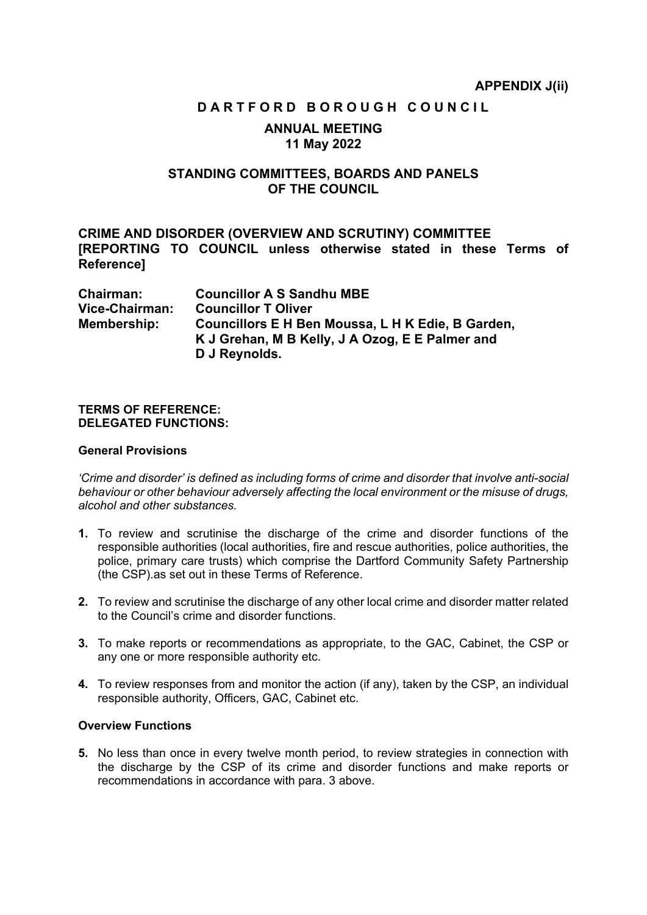# **D A R T F O R D B O R O U G H C O U N C I L**

### **ANNUAL MEETING 11 May 2022**

## **STANDING COMMITTEES, BOARDS AND PANELS OF THE COUNCIL**

**CRIME AND DISORDER (OVERVIEW AND SCRUTINY) COMMITTEE [REPORTING TO COUNCIL unless otherwise stated in these Terms of Reference]**

| <b>Chairman:</b> | <b>Councillor A S Sandhu MBE</b>                  |
|------------------|---------------------------------------------------|
| Vice-Chairman:   | <b>Councillor T Oliver</b>                        |
| Membership:      | Councillors E H Ben Moussa, L H K Edie, B Garden, |
|                  | K J Grehan, M B Kelly, J A Ozog, E E Palmer and   |
|                  | D J Reynolds.                                     |

#### **TERMS OF REFERENCE: DELEGATED FUNCTIONS:**

### **General Provisions**

*'Crime and disorder' is defined as including forms of crime and disorder that involve anti-social behaviour or other behaviour adversely affecting the local environment or the misuse of drugs, alcohol and other substances.*

- **1.** To review and scrutinise the discharge of the crime and disorder functions of the responsible authorities (local authorities, fire and rescue authorities, police authorities, the police, primary care trusts) which comprise the Dartford Community Safety Partnership (the CSP).as set out in these Terms of Reference.
- **2.** To review and scrutinise the discharge of any other local crime and disorder matter related to the Council's crime and disorder functions.
- **3.** To make reports or recommendations as appropriate, to the GAC, Cabinet, the CSP or any one or more responsible authority etc.
- **4.** To review responses from and monitor the action (if any), taken by the CSP, an individual responsible authority, Officers, GAC, Cabinet etc.

### **Overview Functions**

**5.** No less than once in every twelve month period, to review strategies in connection with the discharge by the CSP of its crime and disorder functions and make reports or recommendations in accordance with para. 3 above.